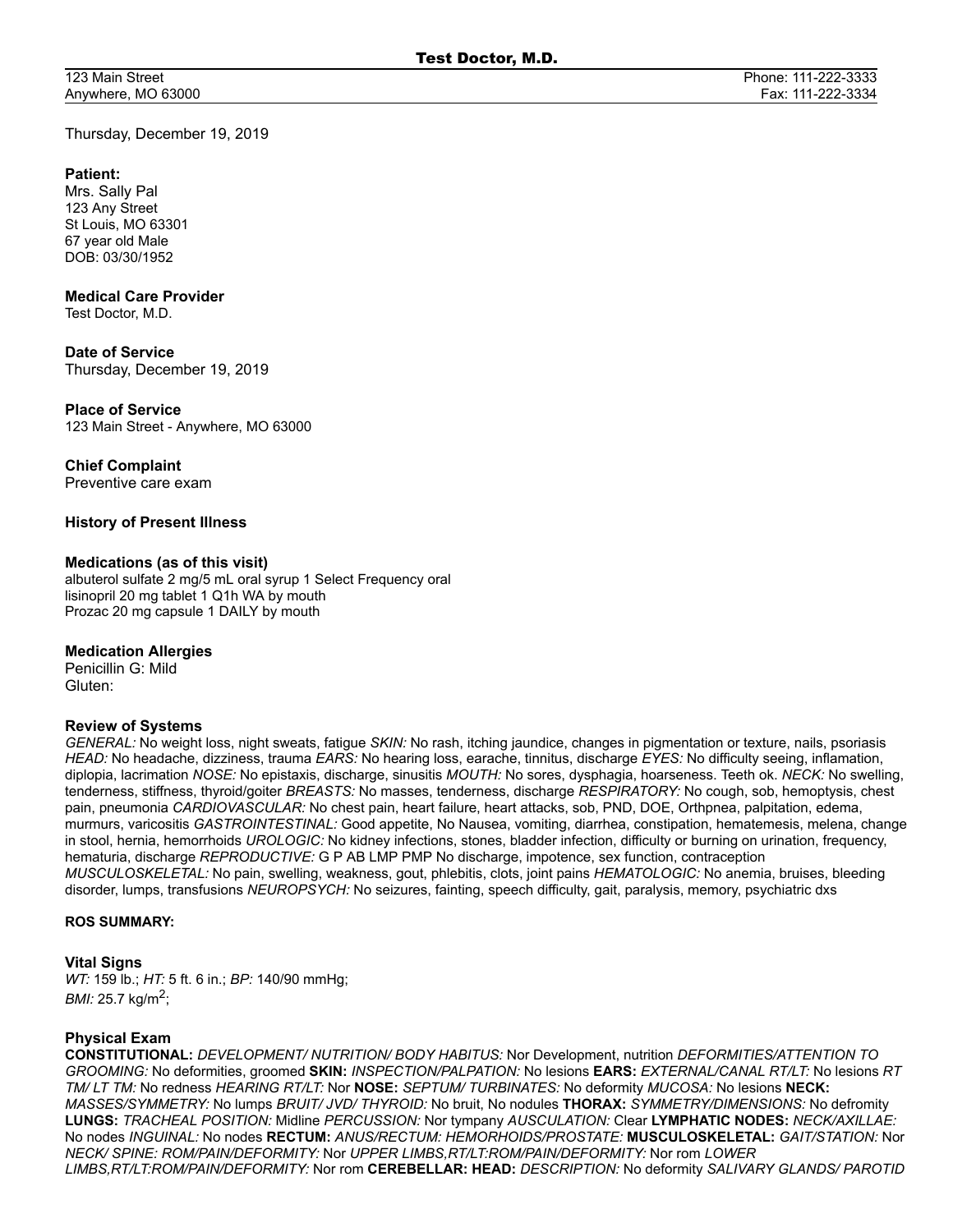123 Main Street Anywhere, MO 63000

Thursday, December 19, 2019

### **Patient:**

Mrs. Sally Pal 123 Any Street St Louis, MO 63301 67 year old Male DOB: 03/30/1952

## **Medical Care Provider**

Test Doctor, M.D.

## **Date of Service**

Thursday, December 19, 2019

## **Place of Service**

123 Main Street - Anywhere, MO 63000

## **Chief Complaint**

Preventive care exam

# **History of Present Illness**

### **Medications (as of this visit)**

albuterol sulfate 2 mg/5 mL oral syrup 1 Select Frequency oral lisinopril 20 mg tablet 1 Q1h WA by mouth Prozac 20 mg capsule 1 DAILY by mouth

### **Medication Allergies**

Penicillin G: Mild Gluten:

### **Review of Systems**

*GENERAL:* No weight loss, night sweats, fatigue *SKIN:* No rash, itching jaundice, changes in pigmentation or texture, nails, psoriasis *HEAD:* No headache, dizziness, trauma *EARS:* No hearing loss, earache, tinnitus, discharge *EYES:* No difficulty seeing, inflamation, diplopia, lacrimation *NOSE:* No epistaxis, discharge, sinusitis *MOUTH:* No sores, dysphagia, hoarseness. Teeth ok. *NECK:* No swelling, tenderness, stiffness, thyroid/goiter *BREASTS:* No masses, tenderness, discharge *RESPIRATORY:* No cough, sob, hemoptysis, chest pain, pneumonia *CARDIOVASCULAR:* No chest pain, heart failure, heart attacks, sob, PND, DOE, Orthpnea, palpitation, edema, murmurs, varicositis *GASTROINTESTINAL:* Good appetite, No Nausea, vomiting, diarrhea, constipation, hematemesis, melena, change in stool, hernia, hemorrhoids *UROLOGIC:* No kidney infections, stones, bladder infection, difficulty or burning on urination, frequency, hematuria, discharge *REPRODUCTIVE:* G P AB LMP PMP No discharge, impotence, sex function, contraception *MUSCULOSKELETAL:* No pain, swelling, weakness, gout, phlebitis, clots, joint pains *HEMATOLOGIC:* No anemia, bruises, bleeding disorder, lumps, transfusions *NEUROPSYCH:* No seizures, fainting, speech difficulty, gait, paralysis, memory, psychiatric dxs

#### **ROS SUMMARY:**

### **Vital Signs**

*WT:* 159 lb.; *HT:* 5 ft. 6 in.; *BP:* 140/90 mmHg; *BMI:* 25.7 kg/m<sup>2</sup>;

### **Physical Exam**

**CONSTITUTIONAL:** *DEVELOPMENT/ NUTRITION/ BODY HABITUS:* Nor Development, nutrition *DEFORMITIES/ATTENTION TO GROOMING:* No deformities, groomed **SKIN:** *INSPECTION/PALPATION:* No lesions **EARS:** *EXTERNAL/CANAL RT/LT:* No lesions *RT TM/ LT TM:* No redness *HEARING RT/LT:* Nor **NOSE:** *SEPTUM/ TURBINATES:* No deformity *MUCOSA:* No lesions **NECK:** *MASSES/SYMMETRY:* No lumps *BRUIT/ JVD/ THYROID:* No bruit, No nodules **THORAX:** *SYMMETRY/DIMENSIONS:* No defromity **LUNGS:** *TRACHEAL POSITION:* Midline *PERCUSSION:* Nor tympany *AUSCULATION:* Clear **LYMPHATIC NODES:** *NECK/AXILLAE:* No nodes *INGUINAL:* No nodes **RECTUM:** *ANUS/RECTUM: HEMORHOIDS/PROSTATE:* **MUSCULOSKELETAL:** *GAIT/STATION:* Nor *NECK/ SPINE: ROM/PAIN/DEFORMITY:* Nor *UPPER LIMBS,RT/LT:ROM/PAIN/DEFORMITY:* Nor rom *LOWER LIMBS,RT/LT:ROM/PAIN/DEFORMITY:* Nor rom **CEREBELLAR: HEAD:** *DESCRIPTION:* No deformity *SALIVARY GLANDS/ PAROTID*